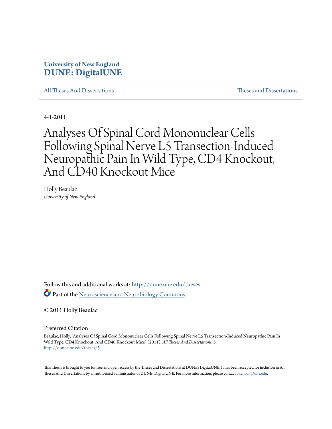# **University of New England [DUNE: DigitalUNE](http://dune.une.edu?utm_source=dune.une.edu%2Ftheses%2F5&utm_medium=PDF&utm_campaign=PDFCoverPages)**

[All Theses And Dissertations](http://dune.une.edu/theses?utm_source=dune.une.edu%2Ftheses%2F5&utm_medium=PDF&utm_campaign=PDFCoverPages) [Theses and Dissertations](http://dune.une.edu/theses_dissertations?utm_source=dune.une.edu%2Ftheses%2F5&utm_medium=PDF&utm_campaign=PDFCoverPages)

4-1-2011

# Analyses Of Spinal Cord Mononuclear Cells Following Spinal Nerve L5 Transection-Induced Neuropathic Pain In Wild Type, CD4 Knockout, And CD40 Knockout Mice

Holly Beaulac *University of New England*

Follow this and additional works at: [http://dune.une.edu/theses](http://dune.une.edu/theses?utm_source=dune.une.edu%2Ftheses%2F5&utm_medium=PDF&utm_campaign=PDFCoverPages) Part of the [Neuroscience and Neurobiology Commons](http://network.bepress.com/hgg/discipline/55?utm_source=dune.une.edu%2Ftheses%2F5&utm_medium=PDF&utm_campaign=PDFCoverPages)

© 2011 Holly Beaulac

Preferred Citation

Beaulac, Holly, "Analyses Of Spinal Cord Mononuclear Cells Following Spinal Nerve L5 Transection-Induced Neuropathic Pain In Wild Type, CD4 Knockout, And CD40 Knockout Mice" (2011). *All Theses And Dissertations*. 5. [http://dune.une.edu/theses/5](http://dune.une.edu/theses/5?utm_source=dune.une.edu%2Ftheses%2F5&utm_medium=PDF&utm_campaign=PDFCoverPages)

This Thesis is brought to you for free and open access by the Theses and Dissertations at DUNE: DigitalUNE. It has been accepted for inclusion in All Theses And Dissertations by an authorized administrator of DUNE: DigitalUNE. For more information, please contact [bkenyon@une.edu.](mailto:bkenyon@une.edu)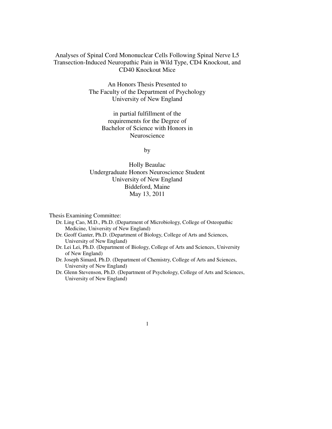# Analyses of Spinal Cord Mononuclear Cells Following Spinal Nerve L5 Transection-Induced Neuropathic Pain in Wild Type, CD4 Knockout, and CD40 Knockout Mice

An Honors Thesis Presented to The Faculty of the Department of Psychology University of New England

> in partial fulfillment of the requirements for the Degree of Bachelor of Science with Honors in Neuroscience

> > by

Holly Beaulac Undergraduate Honors Neuroscience Student University of New England Biddeford, Maine May 13, 2011

Thesis Examining Committee:

- Dr. Ling Cao, M.D., Ph.D. (Department of Microbiology, College of Osteopathic Medicine, University of New England)
- Dr. Geoff Ganter, Ph.D. (Department of Biology, College of Arts and Sciences, University of New England)
- Dr. Lei Lei, Ph.D. (Department of Biology, College of Arts and Sciences, University of New England)
- Dr. Joseph Simard, Ph.D. (Department of Chemistry, College of Arts and Sciences, University of New England)
- Dr. Glenn Stevenson, Ph.D. (Department of Psychology, College of Arts and Sciences, University of New England)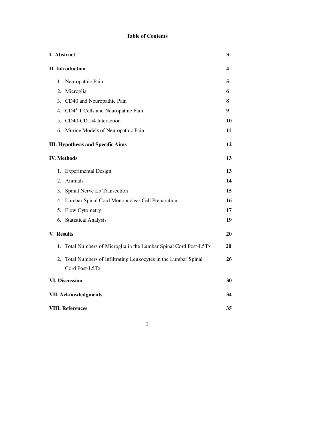# **Table of Contents**

| I. Abstract                                                          | 3  |
|----------------------------------------------------------------------|----|
| <b>II.</b> Introduction                                              | 4  |
| 1. Neuropathic Pain                                                  | 5  |
| 2. Microglia                                                         | 6  |
| 3. CD40 and Neuropathic Pain                                         | 8  |
| 4. CD4 <sup>+</sup> T Cells and Neuropathic Pain                     | 9  |
| 5. CD40-CD154 Interaction                                            | 10 |
| 6. Murine Models of Neuropathic Pain                                 | 11 |
| <b>III. Hypothesis and Specific Aims</b>                             | 12 |
| <b>IV. Methods</b>                                                   | 13 |
| 1. Experimental Design                                               | 13 |
| 2. Animals                                                           | 14 |
| 3. Spinal Nerve L5 Transection                                       | 15 |
| 4. Lumbar Spinal Cord Mononuclear Cell Preparation                   | 16 |
| 5. Flow Cytometry                                                    | 17 |
| 6. Statistical Analysis                                              | 19 |
| V. Results                                                           | 20 |
| Total Numbers of Microglia in the Lumbar Spinal Cord Post-L5Tx<br>1. | 20 |
| Total Numbers of Infiltrating Leukocytes in the Lumbar Spinal<br>2.  | 26 |
| Cord Post-L5Tx                                                       |    |
| <b>VI. Discussion</b>                                                | 30 |
| <b>VII. Acknowledgments</b>                                          | 34 |
| <b>VIII. References</b>                                              | 35 |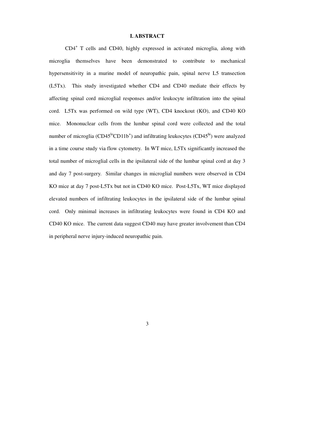# **I. ABSTRACT**

 CD4<sup>+</sup> T cells and CD40, highly expressed in activated microglia, along with microglia themselves have been demonstrated to contribute to mechanical hypersensitivity in a murine model of neuropathic pain, spinal nerve L5 transection (L5Tx). This study investigated whether CD4 and CD40 mediate their effects by affecting spinal cord microglial responses and/or leukocyte infiltration into the spinal cord. L5Tx was performed on wild type (WT), CD4 knockout (KO), and CD40 KO mice. Mononuclear cells from the lumbar spinal cord were collected and the total number of microglia ( $CD45^{\circ}CD11b^{+}$ ) and infiltrating leukocytes ( $CD45^{\circ}$ hi) were analyzed in a time course study via flow cytometry. In WT mice, L5Tx significantly increased the total number of microglial cells in the ipsilateral side of the lumbar spinal cord at day 3 and day 7 post-surgery. Similar changes in microglial numbers were observed in CD4 KO mice at day 7 post-L5Tx but not in CD40 KO mice. Post-L5Tx, WT mice displayed elevated numbers of infiltrating leukocytes in the ipsilateral side of the lumbar spinal cord. Only minimal increases in infiltrating leukocytes were found in CD4 KO and CD40 KO mice. The current data suggest CD40 may have greater involvement than CD4 in peripheral nerve injury-induced neuropathic pain.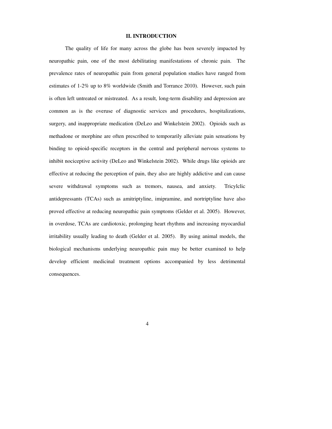# **II. INTRODUCTION**

 The quality of life for many across the globe has been severely impacted by neuropathic pain, one of the most debilitating manifestations of chronic pain. The prevalence rates of neuropathic pain from general population studies have ranged from estimates of 1-2% up to 8% worldwide (Smith and Torrance 2010). However, such pain is often left untreated or mistreated. As a result, long-term disability and depression are common as is the overuse of diagnostic services and procedures, hospitalizations, surgery, and inappropriate medication (DeLeo and Winkelstein 2002). Opioids such as methadone or morphine are often prescribed to temporarily alleviate pain sensations by binding to opioid-specific receptors in the central and peripheral nervous systems to inhibit nociceptive activity (DeLeo and Winkelstein 2002). While drugs like opioids are effective at reducing the perception of pain, they also are highly addictive and can cause severe withdrawal symptoms such as tremors, nausea, and anxiety. Tricylclic antidepressants (TCAs) such as amitriptyline, imipramine, and nortriptyline have also proved effective at reducing neuropathic pain symptoms (Gelder et al. 2005). However, in overdose, TCAs are cardiotoxic, prolonging heart rhythms and increasing myocardial irritability usually leading to death (Gelder et al. 2005). By using animal models, the biological mechanisms underlying neuropathic pain may be better examined to help develop efficient medicinal treatment options accompanied by less detrimental consequences.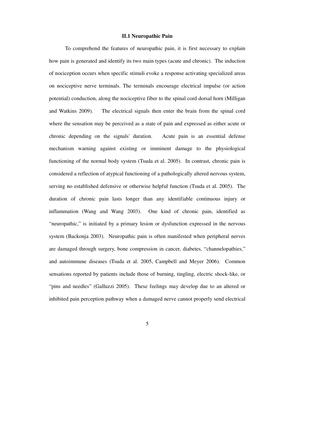# **II.1 Neuropathic Pain**

To comprehend the features of neuropathic pain, it is first necessary to explain how pain is generated and identify its two main types (acute and chronic). The induction of nociception occurs when specific stimuli evoke a response activating specialized areas on nociceptive nerve terminals. The terminals encourage electrical impulse (or action potential) conduction, along the nociceptive fiber to the spinal cord dorsal horn (Milligan and Watkins 2009). The electrical signals then enter the brain from the spinal cord where the sensation may be perceived as a state of pain and expressed as either acute or chronic depending on the signals' duration. Acute pain is an essential defense mechanism warning against existing or imminent damage to the physiological functioning of the normal body system (Tsuda et al. 2005). In contrast, chronic pain is considered a reflection of atypical functioning of a pathologically altered nervous system, serving no established defensive or otherwise helpful function (Tsuda et al. 2005). The duration of chronic pain lasts longer than any identifiable continuous injury or inflammation (Wang and Wang 2003). One kind of chronic pain, identified as "neuropathic," is initiated by a primary lesion or dysfunction expressed in the nervous system (Backonja 2003). Neuropathic pain is often manifested when peripheral nerves are damaged through surgery, bone compression in cancer, diabetes, "channelopathies," and autoimmune diseases (Tsuda et al. 2005, Campbell and Meyer 2006). Common sensations reported by patients include those of burning, tingling, electric shock-like, or "pins and needles" (Galluzzi 2005). These feelings may develop due to an altered or inhibited pain perception pathway when a damaged nerve cannot properly send electrical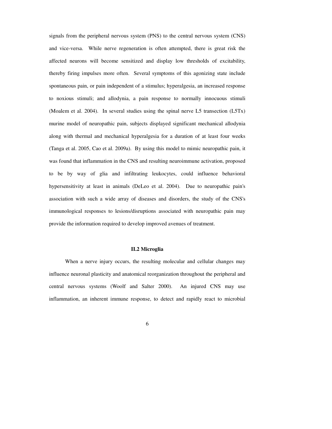signals from the peripheral nervous system (PNS) to the central nervous system (CNS) and vice-versa. While nerve regeneration is often attempted, there is great risk the affected neurons will become sensitized and display low thresholds of excitability, thereby firing impulses more often. Several symptoms of this agonizing state include spontaneous pain, or pain independent of a stimulus; hyperalgesia, an increased response to noxious stimuli; and allodynia, a pain response to normally innocuous stimuli (Moalem et al. 2004). In several studies using the spinal nerve L5 transection (L5Tx) murine model of neuropathic pain, subjects displayed significant mechanical allodynia along with thermal and mechanical hyperalgesia for a duration of at least four weeks (Tanga et al. 2005, Cao et al. 2009a). By using this model to mimic neuropathic pain, it was found that inflammation in the CNS and resulting neuroimmune activation, proposed to be by way of glia and infiltrating leukocytes, could influence behavioral hypersensitivity at least in animals (DeLeo et al. 2004). Due to neuropathic pain's association with such a wide array of diseases and disorders, the study of the CNS's immunological responses to lesions/disruptions associated with neuropathic pain may provide the information required to develop improved avenues of treatment.

#### **II.2 Microglia**

When a nerve injury occurs, the resulting molecular and cellular changes may influence neuronal plasticity and anatomical reorganization throughout the peripheral and central nervous systems (Woolf and Salter 2000). An injured CNS may use inflammation, an inherent immune response, to detect and rapidly react to microbial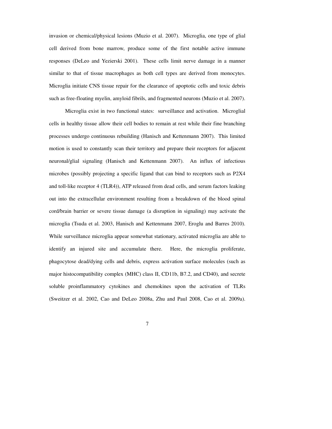invasion or chemical/physical lesions (Muzio et al. 2007). Microglia, one type of glial cell derived from bone marrow, produce some of the first notable active immune responses (DeLeo and Yezierski 2001). These cells limit nerve damage in a manner similar to that of tissue macrophages as both cell types are derived from monocytes. Microglia initiate CNS tissue repair for the clearance of apoptotic cells and toxic debris such as free-floating myelin, amyloid fibrils, and fragmented neurons (Muzio et al. 2007).

 Microglia exist in two functional states: surveillance and activation. Microglial cells in healthy tissue allow their cell bodies to remain at rest while their fine branching processes undergo continuous rebuilding (Hanisch and Kettenmann 2007). This limited motion is used to constantly scan their territory and prepare their receptors for adjacent neuronal/glial signaling (Hanisch and Kettenmann 2007). An influx of infectious microbes (possibly projecting a specific ligand that can bind to receptors such as P2X4 and toll-like receptor 4 (TLR4)), ATP released from dead cells, and serum factors leaking out into the extracellular environment resulting from a breakdown of the blood spinal cord/brain barrier or severe tissue damage (a disruption in signaling) may activate the microglia (Tsuda et al. 2003, Hanisch and Kettenmann 2007, Eroglu and Barres 2010). While surveillance microglia appear somewhat stationary, activated microglia are able to identify an injured site and accumulate there. Here, the microglia proliferate, phagocytose dead/dying cells and debris, express activation surface molecules (such as major histocompatibility complex (MHC) class II, CD11b, B7.2, and CD40), and secrete soluble proinflammatory cytokines and chemokines upon the activation of TLRs (Sweitzer et al. 2002, Cao and DeLeo 2008a, Zhu and Paul 2008, Cao et al. 2009a).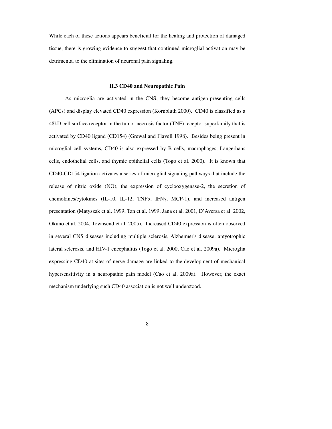While each of these actions appears beneficial for the healing and protection of damaged tissue, there is growing evidence to suggest that continued microglial activation may be detrimental to the elimination of neuronal pain signaling.

## **II.3 CD40 and Neuropathic Pain**

As microglia are activated in the CNS, they become antigen-presenting cells (APCs) and display elevated CD40 expression (Kornbluth 2000). CD40 is classified as a 48kD cell surface receptor in the tumor necrosis factor (TNF) receptor superfamily that is activated by CD40 ligand (CD154) (Grewal and Flavell 1998). Besides being present in microglial cell systems, CD40 is also expressed by B cells, macrophages, Langerhans cells, endothelial cells, and thymic epithelial cells (Togo et al. 2000). It is known that CD40-CD154 ligation activates a series of microglial signaling pathways that include the release of nitric oxide (NO), the expression of cyclooxygenase-2, the secretion of chemokines/cytokines (IL-10, IL-12, TNF $\alpha$ , IFN $\gamma$ , MCP-1), and increased antigen presentation (Matyszak et al. 1999, Tan et al. 1999, Jana et al. 2001, D'Aversa et al. 2002, Okuno et al. 2004, Townsend et al. 2005). Increased CD40 expression is often observed in several CNS diseases including multiple sclerosis, Alzheimer's disease, amyotrophic lateral sclerosis, and HIV-1 encephalitis (Togo et al. 2000, Cao et al. 2009a). Microglia expressing CD40 at sites of nerve damage are linked to the development of mechanical hypersensitivity in a neuropathic pain model (Cao et al. 2009a). However, the exact mechanism underlying such CD40 association is not well understood.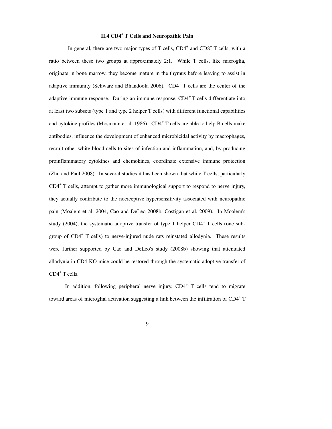# **II.4 CD4<sup>+</sup> T Cells and Neuropathic Pain**

In general, there are two major types of T cells,  $CD4^+$  and  $CD8^+$  T cells, with a ratio between these two groups at approximately 2:1. While T cells, like microglia, originate in bone marrow, they become mature in the thymus before leaving to assist in adaptive immunity (Schwarz and Bhandoola 2006). CD4<sup>+</sup> T cells are the center of the adaptive immune response. During an immune response,  $CD4^+$ T cells differentiate into at least two subsets (type 1 and type 2 helper T cells) with different functional capabilities and cytokine profiles (Mosmann et al. 1986). CD4<sup>+</sup> T cells are able to help B cells make antibodies, influence the development of enhanced microbicidal activity by macrophages, recruit other white blood cells to sites of infection and inflammation, and, by producing proinflammatory cytokines and chemokines, coordinate extensive immune protection (Zhu and Paul 2008). In several studies it has been shown that while T cells, particularly CD4<sup>+</sup> T cells, attempt to gather more immunological support to respond to nerve injury, they actually contribute to the nociceptive hypersensitivity associated with neuropathic pain (Moalem et al. 2004, Cao and DeLeo 2008b, Costigan et al. 2009). In Moalem's study (2004), the systematic adoptive transfer of type 1 helper  $CD4^+$  T cells (one subgroup of CD4<sup>+</sup> T cells) to nerve-injured nude rats reinstated allodynia. These results were further supported by Cao and DeLeo's study (2008b) showing that attenuated allodynia in CD4 KO mice could be restored through the systematic adoptive transfer of CD4<sup>+</sup> T cells.

In addition, following peripheral nerve injury, CD4<sup>+</sup> T cells tend to migrate toward areas of microglial activation suggesting a link between the infiltration of CD4<sup>+</sup>T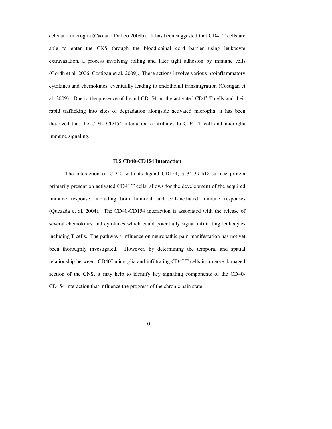cells and microglia (Cao and DeLeo 2008b). It has been suggested that CD4<sup>+</sup> T cells are able to enter the CNS through the blood-spinal cord barrier using leukocyte extravasation, a process involving rolling and later tight adhesion by immune cells (Gordh et al. 2006, Costigan et al. 2009). These actions involve various proinflammatory cytokines and chemokines, eventually leading to endothelial transmigration (Costigan et al. 2009). Due to the presence of ligand CD154 on the activated  $CD4^+$  T cells and their rapid trafficking into sites of degradation alongside activated microglia, it has been theorized that the CD40-CD154 interaction contributes to CD4<sup>+</sup> T cell and microglia immune signaling.

## **II.5 CD40-CD154 Interaction**

 The interaction of CD40 with its ligand CD154, a 34-39 kD surface protein primarily present on activated CD4<sup>+</sup> T cells, allows for the development of the acquired immune response, including both humoral and cell-mediated immune responses (Quezada et al. 2004). The CD40-CD154 interaction is associated with the release of several chemokines and cytokines which could potentially signal infiltrating leukocytes including T cells. The pathway's influence on neuropathic pain manifestation has not yet been thoroughly investigated. However, by determining the temporal and spatial relationship between CD40<sup>+</sup> microglia and infiltrating CD4<sup>+</sup> T cells in a nerve-damaged section of the CNS, it may help to identify key signaling components of the CD40- CD154 interaction that influence the progress of the chronic pain state.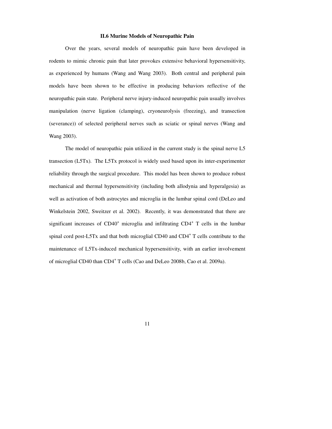# **II.6 Murine Models of Neuropathic Pain**

Over the years, several models of neuropathic pain have been developed in rodents to mimic chronic pain that later provokes extensive behavioral hypersensitivity, as experienced by humans (Wang and Wang 2003). Both central and peripheral pain models have been shown to be effective in producing behaviors reflective of the neuropathic pain state. Peripheral nerve injury-induced neuropathic pain usually involves manipulation (nerve ligation (clamping), cryoneurolysis (freezing), and transection (severance)) of selected peripheral nerves such as sciatic or spinal nerves (Wang and Wang 2003).

The model of neuropathic pain utilized in the current study is the spinal nerve L5 transection (L5Tx). The L5Tx protocol is widely used based upon its inter-experimenter reliability through the surgical procedure. This model has been shown to produce robust mechanical and thermal hypersensitivity (including both allodynia and hyperalgesia) as well as activation of both astrocytes and microglia in the lumbar spinal cord (DeLeo and Winkelstein 2002, Sweitzer et al. 2002). Recently, it was demonstrated that there are significant increases of  $CD40<sup>+</sup>$  microglia and infiltrating  $CD4<sup>+</sup>$  T cells in the lumbar spinal cord post-L5Tx and that both microglial CD40 and CD4<sup>+</sup> T cells contribute to the maintenance of L5Tx-induced mechanical hypersensitivity, with an earlier involvement of microglial CD40 than CD4<sup>+</sup> T cells (Cao and DeLeo 2008b, Cao et al. 2009a).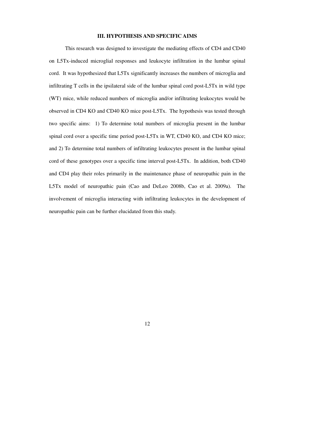# **III. HYPOTHESIS AND SPECIFIC AIMS**

 This research was designed to investigate the mediating effects of CD4 and CD40 on L5Tx-induced microglial responses and leukocyte infiltration in the lumbar spinal cord. It was hypothesized that L5Tx significantly increases the numbers of microglia and infiltrating T cells in the ipsilateral side of the lumbar spinal cord post-L5Tx in wild type (WT) mice, while reduced numbers of microglia and/or infiltrating leukocytes would be observed in CD4 KO and CD40 KO mice post-L5Tx. The hypothesis was tested through two specific aims: 1) To determine total numbers of microglia present in the lumbar spinal cord over a specific time period post-L5Tx in WT, CD40 KO, and CD4 KO mice; and 2) To determine total numbers of infiltrating leukocytes present in the lumbar spinal cord of these genotypes over a specific time interval post-L5Tx. In addition, both CD40 and CD4 play their roles primarily in the maintenance phase of neuropathic pain in the L5Tx model of neuropathic pain (Cao and DeLeo 2008b, Cao et al. 2009a). The involvement of microglia interacting with infiltrating leukocytes in the development of neuropathic pain can be further elucidated from this study.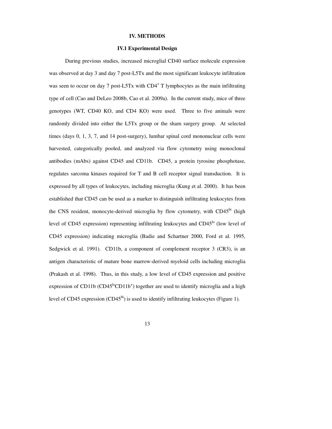# **IV. METHODS**

#### **IV.1 Experimental Design**

 During previous studies, increased microglial CD40 surface molecule expression was observed at day 3 and day 7 post-L5Tx and the most significant leukocyte infiltration was seen to occur on day 7 post-L5Tx with CD4<sup>+</sup> T lymphocytes as the main infiltrating type of cell (Cao and DeLeo 2008b, Cao et al. 2009a). In the current study, mice of three genotypes (WT, CD40 KO, and CD4 KO) were used. Three to five animals were randomly divided into either the L5Tx group or the sham surgery group. At selected times (days 0, 1, 3, 7, and 14 post-surgery), lumbar spinal cord mononuclear cells were harvested, categorically pooled, and analyzed via flow cytometry using monoclonal antibodies (mAbs) against CD45 and CD11b. CD45, a protein tyrosine phosphotase, regulates sarcoma kinases required for T and B cell receptor signal transduction. It is expressed by all types of leukocytes, including microglia (Kung et al. 2000). It has been established that CD45 can be used as a marker to distinguish infiltrating leukocytes from the CNS resident, monocyte-derived microglia by flow cytometry, with  $CD45<sup>hi</sup>$  (high level of CD45 expression) representing infiltrating leukocytes and  $CD45<sup>lo</sup>$  (low level of CD45 expression) indicating microglia (Badie and Schartner 2000, Ford et al. 1995, Sedgwick et al. 1991). CD11b, a component of complement receptor 3 (CR3), is an antigen characteristic of mature bone marrow-derived myeloid cells including microglia (Prakash et al. 1998). Thus, in this study, a low level of CD45 expression and positive expression of CD11b ( $CD45^{10}CD11b<sup>+</sup>$ ) together are used to identify microglia and a high level of CD45 expression  $(CD45<sup>hi</sup>)$  is used to identify infiltrating leukocytes (Figure 1).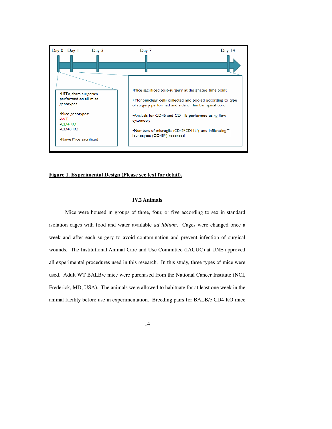

# **Figure 1. Experimental Design (Please see text for detail).**

# **IV.2 Animals**

 Mice were housed in groups of three, four, or five according to sex in standard isolation cages with food and water available *ad libitum*. Cages were changed once a week and after each surgery to avoid contamination and prevent infection of surgical wounds. The Institutional Animal Care and Use Committee (IACUC) at UNE approved all experimental procedures used in this research. In this study, three types of mice were used. Adult WT BALB/c mice were purchased from the National Cancer Institute (NCI, Frederick, MD, USA). The animals were allowed to habituate for at least one week in the animal facility before use in experimentation. Breeding pairs for BALB/c CD4 KO mice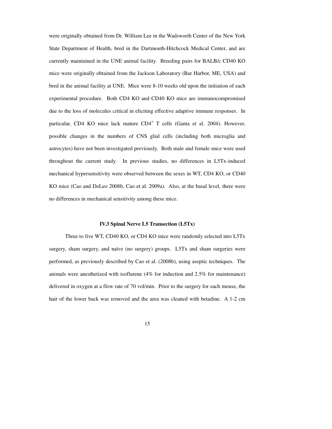were originally obtained from Dr. William Lee in the Wadsworth Center of the New York State Department of Health, bred in the Dartmouth-Hitchcock Medical Center, and are currently maintained in the UNE animal facility. Breeding pairs for BALB/c CD40 KO mice were originally obtained from the Jackson Laboratory (Bar Harbor, ME, USA) and bred in the animal facility at UNE. Mice were 8-10 weeks old upon the initiation of each experimental procedure. Both CD4 KO and CD40 KO mice are immunocompromised due to the loss of molecules critical in eliciting effective adaptive immune responses. In particular, CD4 KO mice lack mature CD4<sup>+</sup> T cells (Ganta et al. 2004). However, possible changes in the numbers of CNS glial cells (including both microglia and astrocytes) have not been investigated previously. Both male and female mice were used throughout the current study. In previous studies, no differences in L5Tx-induced mechanical hypersensitivity were observed between the sexes in WT, CD4 KO, or CD40 KO mice (Cao and DeLeo 2008b, Cao et al. 2009a). Also, at the basal level, there were no differences in mechanical sensitivity among these mice.

#### **IV.3 Spinal Nerve L5 Transection (L5Tx)**

 Three to five WT, CD40 KO, or CD4 KO mice were randomly selected into L5Tx surgery, sham surgery, and naïve (no surgery) groups. L5Tx and sham surgeries were performed, as previously described by Cao et al. (2008b), using aseptic techniques. The animals were anesthetized with isoflurene (4% for induction and 2.5% for maintenance) delivered in oxygen at a flow rate of 70 vol/min. Prior to the surgery for each mouse, the hair of the lower back was removed and the area was cleaned with betadine. A 1-2 cm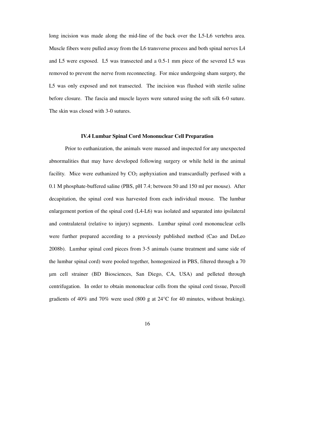long incision was made along the mid-line of the back over the L5-L6 vertebra area. Muscle fibers were pulled away from the L6 transverse process and both spinal nerves L4 and L5 were exposed. L5 was transected and a 0.5-1 mm piece of the severed L5 was removed to prevent the nerve from reconnecting. For mice undergoing sham surgery, the L5 was only exposed and not transected. The incision was flushed with sterile saline before closure. The fascia and muscle layers were sutured using the soft silk 6-0 suture. The skin was closed with 3-0 sutures.

#### **IV.4 Lumbar Spinal Cord Mononuclear Cell Preparation**

 Prior to euthanization, the animals were massed and inspected for any unexpected abnormalities that may have developed following surgery or while held in the animal facility. Mice were euthanized by  $CO<sub>2</sub>$  asphyxiation and transcardially perfused with a 0.1 M phosphate-buffered saline (PBS, pH 7.4; between 50 and 150 ml per mouse). After decapitation, the spinal cord was harvested from each individual mouse. The lumbar enlargement portion of the spinal cord (L4-L6) was isolated and separated into ipsilateral and contralateral (relative to injury) segments. Lumbar spinal cord mononuclear cells were further prepared according to a previously published method (Cao and DeLeo 2008b). Lumbar spinal cord pieces from 3-5 animals (same treatment and same side of the lumbar spinal cord) were pooled together, homogenized in PBS, filtered through a 70 µm cell strainer (BD Biosciences, San Diego, CA, USA) and pelleted through centrifugation. In order to obtain mononuclear cells from the spinal cord tissue, Percoll gradients of 40% and 70% were used (800 g at  $24^{\circ}$ C for 40 minutes, without braking).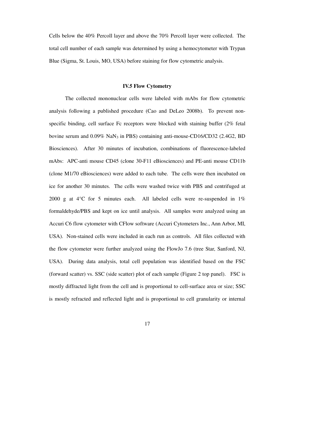Cells below the 40% Percoll layer and above the 70% Percoll layer were collected. The total cell number of each sample was determined by using a hemocytometer with Trypan Blue (Sigma, St. Louis, MO, USA) before staining for flow cytometric analysis.

# **IV.5 Flow Cytometry**

 The collected mononuclear cells were labeled with mAbs for flow cytometric analysis following a published procedure (Cao and DeLeo 2008b). To prevent nonspecific binding, cell surface Fc receptors were blocked with staining buffer (2% fetal bovine serum and 0.09% NaN3 in PBS) containing anti-mouse-CD16/CD32 (2.4G2, BD Biosciences). After 30 minutes of incubation, combinations of fluorescence-labeled mAbs: APC-anti mouse CD45 (clone 30-F11 eBiosciences) and PE-anti mouse CD11b (clone M1/70 eBiosciences) were added to each tube. The cells were then incubated on ice for another 30 minutes. The cells were washed twice with PBS and centrifuged at 2000 g at 4°C for 5 minutes each. All labeled cells were re-suspended in 1% formaldehyde/PBS and kept on ice until analysis. All samples were analyzed using an Accuri C6 flow cytometer with CFlow software (Accuri Cytometers Inc., Ann Arbor, MI, USA). Non-stained cells were included in each run as controls. All files collected with the flow cytometer were further analyzed using the FlowJo 7.6 (tree Star, Sanford, NJ, USA). During data analysis, total cell population was identified based on the FSC (forward scatter) vs. SSC (side scatter) plot of each sample (Figure 2 top panel). FSC is mostly diffracted light from the cell and is proportional to cell-surface area or size; SSC is mostly refracted and reflected light and is proportional to cell granularity or internal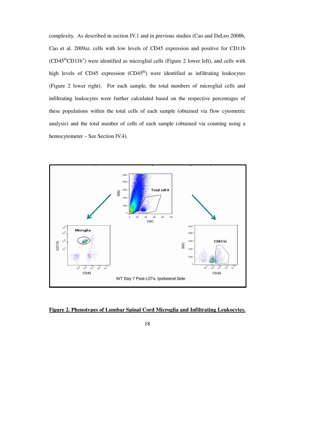complexity. As described in section IV.1 and in previous studies (Cao and DeLeo 2008b, Cao et al. 2009a), cells with low levels of CD45 expression and positive for CD11b  $(CD45<sup>lo</sup>CD11b<sup>+</sup>)$  were identified as microglial cells (Figure 2 lower left), and cells with high levels of CD45 expression  $(CD45<sup>hi</sup>)$  were identified as infiltrating leukocytes (Figure 2 lower right). For each sample, the total numbers of microglial cells and infiltrating leukocytes were further calculated based on the respective percentages of these populations within the total cells of each sample (obtained via flow cytometric analysis) and the total number of cells of each sample (obtained via counting using a hemocytometer – See Section IV.4).



**Figure 2. Phenotypes of Lumbar Spinal Cord Microglia and Infiltrating Leukocytes.**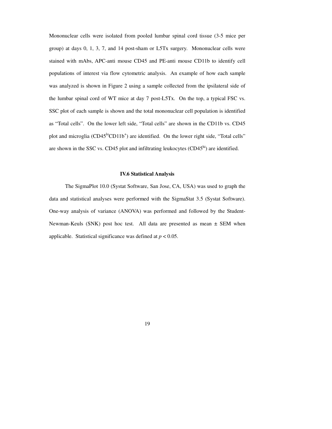Mononuclear cells were isolated from pooled lumbar spinal cord tissue (3-5 mice per group) at days 0, 1, 3, 7, and 14 post-sham or L5Tx surgery. Mononuclear cells were stained with mAbs, APC-anti mouse CD45 and PE-anti mouse CD11b to identify cell populations of interest via flow cytometric analysis. An example of how each sample was analyzed is shown in Figure 2 using a sample collected from the ipsilateral side of the lumbar spinal cord of WT mice at day 7 post-L5Tx. On the top, a typical FSC vs. SSC plot of each sample is shown and the total mononuclear cell population is identified as "Total cells". On the lower left side, "Total cells" are shown in the CD11b vs. CD45 plot and microglia  $(CD45^{10}CD11b^{+})$  are identified. On the lower right side, "Total cells" are shown in the SSC vs. CD45 plot and infiltrating leukocytes  $(CD45<sup>hi</sup>)$  are identified.

#### **IV.6 Statistical Analysis**

The SigmaPlot 10.0 (Systat Software, San Jose, CA, USA) was used to graph the data and statistical analyses were performed with the SigmaStat 3.5 (Systat Software). One-way analysis of variance (ANOVA) was performed and followed by the Student-Newman-Keuls (SNK) post hoc test. All data are presented as mean  $\pm$  SEM when applicable. Statistical significance was defined at  $p < 0.05$ .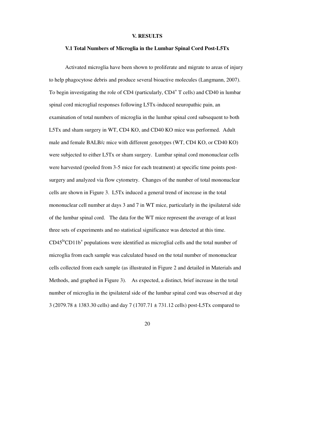# **V. RESULTS**

#### **V.1 Total Numbers of Microglia in the Lumbar Spinal Cord Post-L5Tx**

Activated microglia have been shown to proliferate and migrate to areas of injury to help phagocytose debris and produce several bioactive molecules (Langmann, 2007). To begin investigating the role of CD4 (particularly, CD4<sup>+</sup> T cells) and CD40 in lumbar spinal cord microglial responses following L5Tx-induced neuropathic pain, an examination of total numbers of microglia in the lumbar spinal cord subsequent to both L5Tx and sham surgery in WT, CD4 KO, and CD40 KO mice was performed. Adult male and female BALB/c mice with different genotypes (WT, CD4 KO, or CD40 KO) were subjected to either L5Tx or sham surgery. Lumbar spinal cord mononuclear cells were harvested (pooled from 3-5 mice for each treatment) at specific time points postsurgery and analyzed via flow cytometry. Changes of the number of total mononuclear cells are shown in Figure 3. L5Tx induced a general trend of increase in the total mononuclear cell number at days 3 and 7 in WT mice, particularly in the ipsilateral side of the lumbar spinal cord. The data for the WT mice represent the average of at least three sets of experiments and no statistical significance was detected at this time.  $CD45^{10}CD11b<sup>+</sup>$  populations were identified as microglial cells and the total number of microglia from each sample was calculated based on the total number of mononuclear cells collected from each sample (as illustrated in Figure 2 and detailed in Materials and Methods, and graphed in Figure 3). As expected, a distinct, brief increase in the total number of microglia in the ipsilateral side of the lumbar spinal cord was observed at day 3 (2079.78 ± 1383.30 cells) and day 7 (1707.71 ± 731.12 cells) post-L5Tx compared to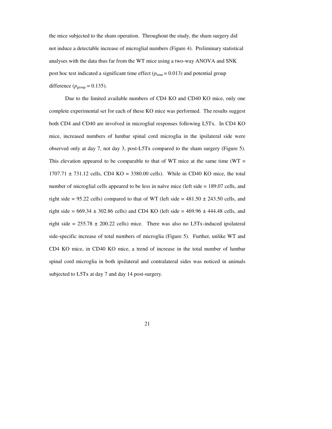the mice subjected to the sham operation. Throughout the study, the sham surgery did not induce a detectable increase of microglial numbers (Figure 4). Preliminary statistical analyses with the data thus far from the WT mice using a two-way ANOVA and SNK post hoc test indicated a significant time effect ( $p_{time} = 0.013$ ) and potential group difference ( $p_{\text{group}} = 0.135$ ).

 Due to the limited available numbers of CD4 KO and CD40 KO mice, only one complete experimental set for each of these KO mice was performed. The results suggest both CD4 and CD40 are involved in microglial responses following L5Tx. In CD4 KO mice, increased numbers of lumbar spinal cord microglia in the ipsilateral side were observed only at day 7, not day 3, post-L5Tx compared to the sham surgery (Figure 5). This elevation appeared to be comparable to that of WT mice at the same time  $(WT =$  $1707.71 \pm 731.12$  cells, CD4 KO = 3380.00 cells). While in CD40 KO mice, the total number of microglial cells appeared to be less in naïve mice (left side = 189.07 cells, and right side = 95.22 cells) compared to that of WT (left side =  $481.50 \pm 243.50$  cells, and right side =  $669.34 \pm 302.86$  cells) and CD4 KO (left side =  $469.96 \pm 444.48$  cells, and right side =  $255.78 \pm 200.22$  cells) mice. There was also no L5Tx-induced ipsilateral side-specific increase of total numbers of microglia (Figure 5). Further, unlike WT and CD4 KO mice, in CD40 KO mice, a trend of increase in the total number of lumbar spinal cord microglia in both ipsilateral and contralateral sides was noticed in animals subjected to L5Tx at day 7 and day 14 post-surgery.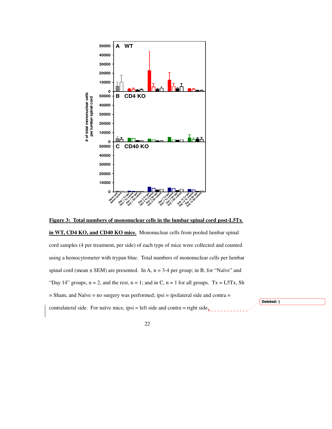

**Figure 3: Total numbers of mononuclear cells in the lumbar spinal cord post-L5Tx in WT, CD4 KO, and CD40 KO mice.** Mononuclear cells from pooled lumbar spinal cord samples (4 per treatment, per side) of each type of mice were collected and counted using a hemocytometer with trypan blue. Total numbers of mononuclear cells per lumbar spinal cord (mean  $\pm$  SEM) are presented. In A, n = 3-4 per group; in B, for "Naïve" and "Day 14" groups,  $n = 2$ , and the rest,  $n = 1$ ; and in C,  $n = 1$  for all groups. Tx = L5Tx, Sh  $=$  Sham, and Naïve  $=$  no surgery was performed; ipsi  $=$  ipsilateral side and contra  $=$ contralateral side. For naïve mice, ipsi = left side and contra = right side. Deleted: ¶

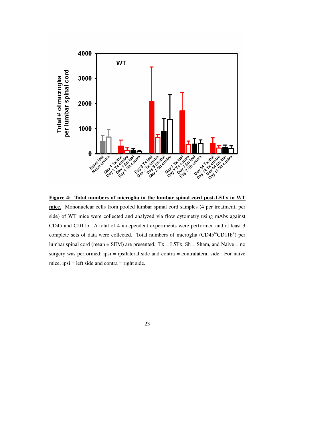

**Figure 4: Total numbers of microglia in the lumbar spinal cord post-L5Tx in WT mice.** Mononuclear cells from pooled lumbar spinal cord samples (4 per treatment, per side) of WT mice were collected and analyzed via flow cytometry using mAbs against CD45 and CD11b. A total of 4 independent experiments were performed and at least 3 complete sets of data were collected. Total numbers of microglia  $(CD45^{\text{lo}}CD11b^{+})$  per lumbar spinal cord (mean  $\pm$  SEM) are presented. Tx = L5Tx, Sh = Sham, and Naïve = no surgery was performed; ipsi = ipsilateral side and contra = contralateral side. For naïve mice,  $ipsi = left$  side and contra  $=$  right side.

23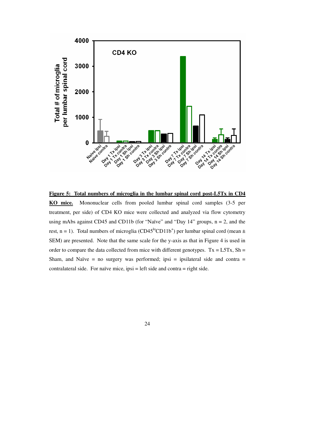

**Figure 5: Total numbers of microglia in the lumbar spinal cord post-L5Tx in CD4 KO mice.** Mononuclear cells from pooled lumbar spinal cord samples (3-5 per treatment, per side) of CD4 KO mice were collected and analyzed via flow cytometry using mAbs against CD45 and CD11b (for "Naïve" and "Day 14" groups, n = 2, and the rest, n = 1). Total numbers of microglia (CD45<sup>lo</sup>CD11b<sup>+</sup>) per lumbar spinal cord (mean  $\pm$ SEM) are presented. Note that the same scale for the y-axis as that in Figure 4 is used in order to compare the data collected from mice with different genotypes.  $Tx = L5Tx$ ,  $Sh =$ Sham, and Naïve = no surgery was performed; ipsi = ipsilateral side and contra = contralateral side. For naïve mice, ipsi = left side and contra = right side.

24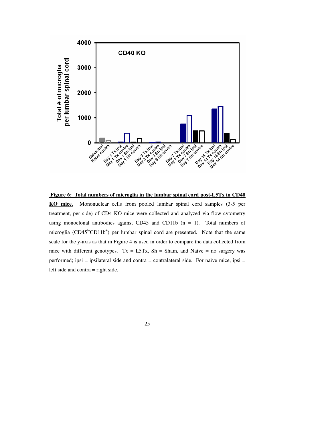

 **Figure 6: Total numbers of microglia in the lumbar spinal cord post-L5Tx in CD40** 

**KO mice.** Mononuclear cells from pooled lumbar spinal cord samples (3-5 per treatment, per side) of CD4 KO mice were collected and analyzed via flow cytometry using monoclonal antibodies against CD45 and CD11b  $(n = 1)$ . Total numbers of microglia (CD45<sup>lo</sup>CD11b<sup>+</sup>) per lumbar spinal cord are presented. Note that the same scale for the y-axis as that in Figure 4 is used in order to compare the data collected from mice with different genotypes.  $Tx = LSTx$ ,  $Sh = Sham$ , and Naïve = no surgery was performed; ipsi = ipsilateral side and contra = contralateral side. For naïve mice, ipsi = left side and contra = right side.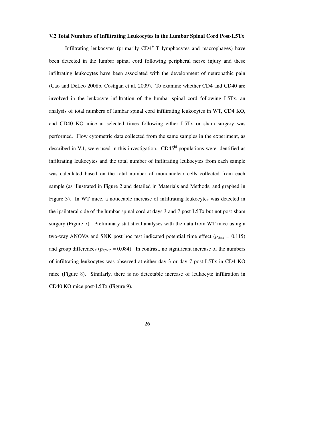# **V.2 Total Numbers of Infiltrating Leukocytes in the Lumbar Spinal Cord Post-L5Tx**

Infiltrating leukocytes (primarily CD4<sup>+</sup> T lymphocytes and macrophages) have been detected in the lumbar spinal cord following peripheral nerve injury and these infiltrating leukocytes have been associated with the development of neuropathic pain (Cao and DeLeo 2008b, Costigan et al. 2009). To examine whether CD4 and CD40 are involved in the leukocyte infiltration of the lumbar spinal cord following L5Tx, an analysis of total numbers of lumbar spinal cord infiltrating leukocytes in WT, CD4 KO, and CD40 KO mice at selected times following either L5Tx or sham surgery was performed. Flow cytometric data collected from the same samples in the experiment, as described in V.1, were used in this investigation.  $CD45<sup>hi</sup>$  populations were identified as infiltrating leukocytes and the total number of infiltrating leukocytes from each sample was calculated based on the total number of mononuclear cells collected from each sample (as illustrated in Figure 2 and detailed in Materials and Methods, and graphed in Figure 3). In WT mice, a noticeable increase of infiltrating leukocytes was detected in the ipsilateral side of the lumbar spinal cord at days 3 and 7 post-L5Tx but not post-sham surgery (Figure 7). Preliminary statistical analyses with the data from WT mice using a two-way ANOVA and SNK post hoc test indicated potential time effect ( $p_{time} = 0.115$ ) and group differences ( $p_{\text{group}} = 0.084$ ). In contrast, no significant increase of the numbers of infiltrating leukocytes was observed at either day 3 or day 7 post-L5Tx in CD4 KO mice (Figure 8). Similarly, there is no detectable increase of leukocyte infiltration in CD40 KO mice post-L5Tx (Figure 9).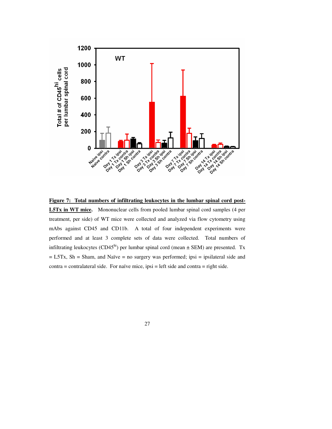

**Figure 7: Total numbers of infiltrating leukocytes in the lumbar spinal cord post-**

**L5Tx in WT mice.** Mononuclear cells from pooled lumbar spinal cord samples (4 per treatment, per side) of WT mice were collected and analyzed via flow cytometry using mAbs against CD45 and CD11b. A total of four independent experiments were performed and at least 3 complete sets of data were collected. Total numbers of infiltrating leukocytes (CD45<sup>hi</sup>) per lumbar spinal cord (mean  $\pm$  SEM) are presented. Tx = L5Tx, Sh = Sham, and Naïve = no surgery was performed; ipsi = ipsilateral side and contra = contralateral side. For naïve mice, ipsi = left side and contra = right side.

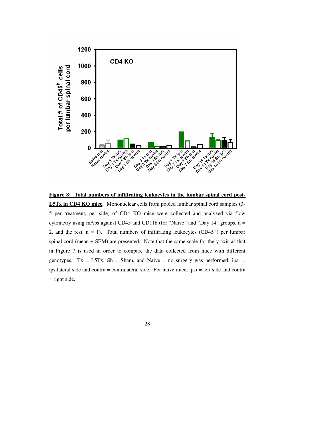

**Figure 8: Total numbers of infiltrating leukocytes in the lumbar spinal cord post-**

**L5Tx in CD4 KO mice.** Mononuclear cells from pooled lumbar spinal cord samples (3- 5 per treatment, per side) of CD4 KO mice were collected and analyzed via flow cytometry using mAbs against CD45 and CD11b (for "Naive" and "Day 14" groups, n = 2, and the rest,  $n = 1$ ). Total numbers of infiltrating leukocytes (CD45<sup>hi</sup>) per lumbar spinal cord (mean  $\pm$  SEM) are presented. Note that the same scale for the y-axis as that in Figure 7 is used in order to compare the data collected from mice with different genotypes. Tx = L5Tx, Sh = Sham, and Naïve = no surgery was performed; ipsi = ipsilateral side and contra = contralateral side. For naïve mice, ipsi = left side and contra  $=$  right side.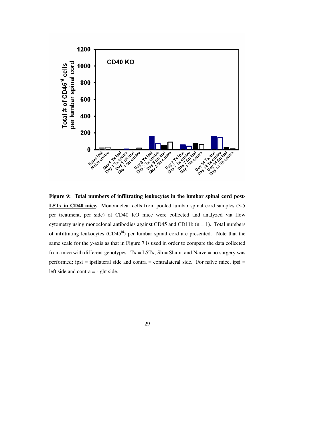

**Figure 9: Total numbers of infiltrating leukocytes in the lumbar spinal cord post-L5Tx in CD40 mice.** Mononuclear cells from pooled lumbar spinal cord samples (3-5 per treatment, per side) of CD40 KO mice were collected and analyzed via flow cytometry using monoclonal antibodies against CD45 and CD11b  $(n = 1)$ . Total numbers of infiltrating leukocytes  $(CD45<sup>hi</sup>)$  per lumbar spinal cord are presented. Note that the

from mice with different genotypes.  $Tx = L5Tx$ ,  $Sh = Sham$ , and Naïve = no surgery was performed; ipsi = ipsilateral side and contra = contralateral side. For naïve mice, ipsi = left side and contra = right side.

same scale for the y-axis as that in Figure 7 is used in order to compare the data collected

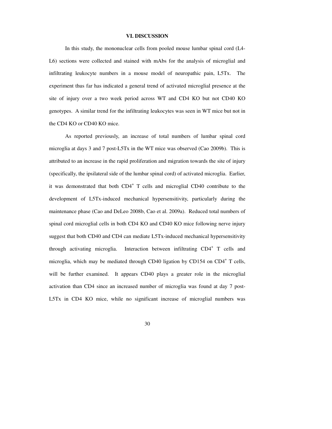# **VI. DISCUSSION**

 In this study, the mononuclear cells from pooled mouse lumbar spinal cord (L4- L6) sections were collected and stained with mAbs for the analysis of microglial and infiltrating leukocyte numbers in a mouse model of neuropathic pain, L5Tx. The experiment thus far has indicated a general trend of activated microglial presence at the site of injury over a two week period across WT and CD4 KO but not CD40 KO genotypes. A similar trend for the infiltrating leukocytes was seen in WT mice but not in the CD4 KO or CD40 KO mice.

 As reported previously, an increase of total numbers of lumbar spinal cord microglia at days 3 and 7 post-L5Tx in the WT mice was observed (Cao 2009b). This is attributed to an increase in the rapid proliferation and migration towards the site of injury (specifically, the ipsilateral side of the lumbar spinal cord) of activated microglia. Earlier, it was demonstrated that both CD4<sup>+</sup> T cells and microglial CD40 contribute to the development of L5Tx-induced mechanical hypersensitivity, particularly during the maintenance phase (Cao and DeLeo 2008b, Cao et al. 2009a). Reduced total numbers of spinal cord microglial cells in both CD4 KO and CD40 KO mice following nerve injury suggest that both CD40 and CD4 can mediate L5Tx-induced mechanical hypersensitivity through activating microglia. Interaction between infiltrating CD4<sup>+</sup> T cells and microglia, which may be mediated through CD40 ligation by CD154 on CD4<sup>+</sup> T cells, will be further examined. It appears CD40 plays a greater role in the microglial activation than CD4 since an increased number of microglia was found at day 7 post-L5Tx in CD4 KO mice, while no significant increase of microglial numbers was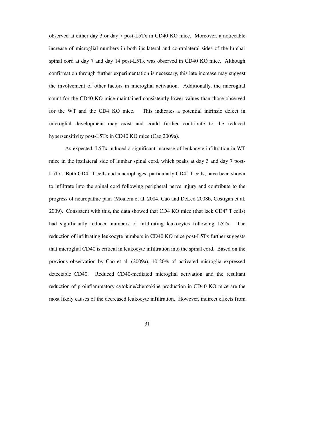observed at either day 3 or day 7 post-L5Tx in CD40 KO mice. Moreover, a noticeable increase of microglial numbers in both ipsilateral and contralateral sides of the lumbar spinal cord at day 7 and day 14 post-L5Tx was observed in CD40 KO mice. Although confirmation through further experimentation is necessary, this late increase may suggest the involvement of other factors in microglial activation. Additionally, the microglial count for the CD40 KO mice maintained consistently lower values than those observed for the WT and the CD4 KO mice. This indicates a potential intrinsic defect in microglial development may exist and could further contribute to the reduced hypersensitivity post-L5Tx in CD40 KO mice (Cao 2009a).

 As expected, L5Tx induced a significant increase of leukocyte infiltration in WT mice in the ipsilateral side of lumbar spinal cord, which peaks at day 3 and day 7 post-L5Tx. Both CD4<sup>+</sup> T cells and macrophages, particularly CD4<sup>+</sup> T cells, have been shown to infiltrate into the spinal cord following peripheral nerve injury and contribute to the progress of neuropathic pain (Moalem et al. 2004, Cao and DeLeo 2008b, Costigan et al. 2009). Consistent with this, the data showed that CD4 KO mice (that lack CD4<sup>+</sup> T cells) had significantly reduced numbers of infiltrating leukocytes following L5Tx. The reduction of infiltrating leukocyte numbers in CD40 KO mice post-L5Tx further suggests that microglial CD40 is critical in leukocyte infiltration into the spinal cord. Based on the previous observation by Cao et al. (2009a), 10-20% of activated microglia expressed detectable CD40. Reduced CD40-mediated microglial activation and the resultant reduction of proinflammatory cytokine/chemokine production in CD40 KO mice are the most likely causes of the decreased leukocyte infiltration. However, indirect effects from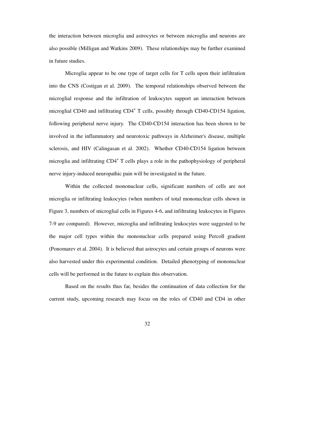the interaction between microglia and astrocytes or between microglia and neurons are also possible (Milligan and Watkins 2009). These relationships may be further examined in future studies.

Microglia appear to be one type of target cells for T cells upon their infiltration into the CNS (Costigan et al. 2009). The temporal relationships observed between the microglial response and the infiltration of leukocytes support an interaction between microglial CD40 and infiltrating CD4<sup>+</sup> T cells, possibly through CD40-CD154 ligation, following peripheral nerve injury. The CD40-CD154 interaction has been shown to be involved in the inflammatory and neurotoxic pathways in Alzheimer's disease, multiple sclerosis, and HIV (Calingasan et al. 2002). Whether CD40-CD154 ligation between microglia and infiltrating CD4<sup>+</sup> T cells plays a role in the pathophysiology of peripheral nerve injury-induced neuropathic pain will be investigated in the future.

Within the collected mononuclear cells, significant numbers of cells are not microglia or infiltrating leukocytes (when numbers of total mononuclear cells shown in Figure 3, numbers of microglial cells in Figures 4-6, and infiltrating leukocytes in Figures 7-9 are compared). However, microglia and infiltrating leukocytes were suggested to be the major cell types within the mononuclear cells prepared using Percoll gradient (Ponomarev et al. 2004). It is believed that astrocytes and certain groups of neurons were also harvested under this experimental condition. Detailed phenotyping of mononuclear cells will be performed in the future to explain this observation.

Based on the results thus far, besides the continuation of data collection for the current study, upcoming research may focus on the roles of CD40 and CD4 in other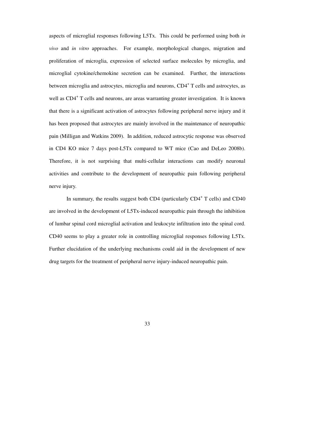aspects of microglial responses following L5Tx. This could be performed using both *in vivo* and *in vitro* approaches. For example, morphological changes, migration and proliferation of microglia, expression of selected surface molecules by microglia, and microglial cytokine/chemokine secretion can be examined. Further, the interactions between microglia and astrocytes, microglia and neurons, CD4<sup>+</sup> T cells and astrocytes, as well as CD4<sup>+</sup> T cells and neurons, are areas warranting greater investigation. It is known that there is a significant activation of astrocytes following peripheral nerve injury and it has been proposed that astrocytes are mainly involved in the maintenance of neuropathic pain (Milligan and Watkins 2009). In addition, reduced astrocytic response was observed in CD4 KO mice 7 days post-L5Tx compared to WT mice (Cao and DeLeo 2008b). Therefore, it is not surprising that multi-cellular interactions can modify neuronal activities and contribute to the development of neuropathic pain following peripheral nerve injury.

In summary, the results suggest both CD4 (particularly CD4<sup>+</sup> T cells) and CD40 are involved in the development of L5Tx-induced neuropathic pain through the inhibition of lumbar spinal cord microglial activation and leukocyte infiltration into the spinal cord. CD40 seems to play a greater role in controlling microglial responses following L5Tx. Further elucidation of the underlying mechanisms could aid in the development of new drug targets for the treatment of peripheral nerve injury-induced neuropathic pain.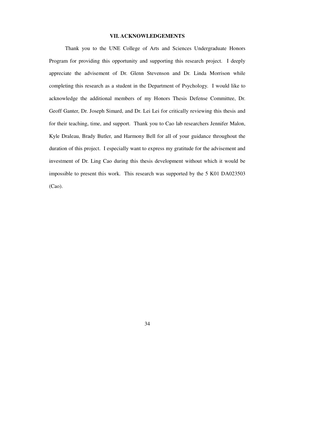# **VII. ACKNOWLEDGEMENTS**

 Thank you to the UNE College of Arts and Sciences Undergraduate Honors Program for providing this opportunity and supporting this research project. I deeply appreciate the advisement of Dr. Glenn Stevenson and Dr. Linda Morrison while completing this research as a student in the Department of Psychology. I would like to acknowledge the additional members of my Honors Thesis Defense Committee, Dr. Geoff Ganter, Dr. Joseph Simard, and Dr. Lei Lei for critically reviewing this thesis and for their teaching, time, and support. Thank you to Cao lab researchers Jennifer Malon, Kyle Draleau, Brady Butler, and Harmony Bell for all of your guidance throughout the duration of this project. I especially want to express my gratitude for the advisement and investment of Dr. Ling Cao during this thesis development without which it would be impossible to present this work. This research was supported by the 5 K01 DA023503 (Cao).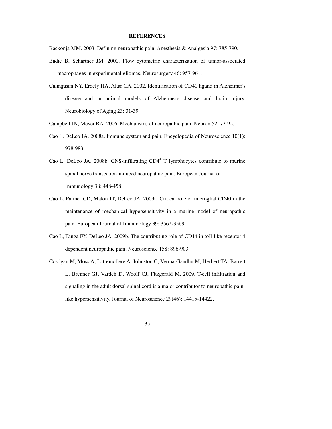# **REFERENCES**

Backonja MM. 2003. Defining neuropathic pain. Anesthesia & Analgesia 97: 785-790.

- Badie B, Schartner JM. 2000. Flow cytometric characterization of tumor-associated macrophages in experimental gliomas. Neurosurgery 46: 957-961.
- Calingasan NY, Erdely HA, Altar CA. 2002. Identification of CD40 ligand in Alzheimer's disease and in animal models of Alzheimer's disease and brain injury. Neurobiology of Aging 23: 31-39.
- Campbell JN, Meyer RA. 2006. Mechanisms of neuropathic pain. Neuron 52: 77-92.
- Cao L, DeLeo JA. 2008a. Immune system and pain. Encyclopedia of Neuroscience 10(1): 978-983.
- Cao L, DeLeo JA. 2008b. CNS-infiltrating CD4<sup>+</sup> T lymphocytes contribute to murine spinal nerve transection-induced neuropathic pain. European Journal of Immunology 38: 448-458.
- Cao L, Palmer CD, Malon JT, DeLeo JA. 2009a. Critical role of microglial CD40 in the maintenance of mechanical hypersensitivity in a murine model of neuropathic pain. European Journal of Immunology 39: 3562-3569.
- Cao L, Tanga FY, DeLeo JA. 2009b. The contributing role of CD14 in toll-like receptor 4 dependent neuropathic pain. Neuroscience 158: 896-903.
- Costigan M, Moss A, Latremoliere A, Johnston C, Verma-Gandhu M, Herbert TA, Barrett L, Brenner GJ, Vardeh D, Woolf CJ, Fitzgerald M. 2009. T-cell infiltration and signaling in the adult dorsal spinal cord is a major contributor to neuropathic pain like hypersensitivity. Journal of Neuroscience 29(46): 14415-14422.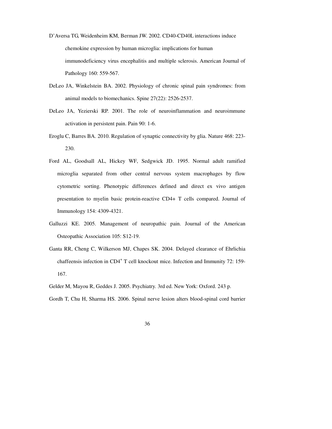- D'Aversa TG, Weidenheim KM, Berman JW. 2002. CD40-CD40L interactions induce chemokine expression by human microglia: implications for human immunodeficiency virus encephalitis and multiple sclerosis. American Journal of Pathology 160: 559-567.
- DeLeo JA, Winkelstein BA. 2002. Physiology of chronic spinal pain syndromes: from animal models to biomechanics. Spine 27(22): 2526-2537.
- DeLeo JA, Yezierski RP. 2001. The role of neuroinflammation and neuroimmune activation in persistent pain. Pain 90: 1-6.
- Eroglu C, Barres BA. 2010. Regulation of synaptic connectivity by glia. Nature 468: 223- 230.
- Ford AL, Goodsall AL, Hickey WF, Sedgwick JD. 1995. Normal adult ramified microglia separated from other central nervous system macrophages by flow cytometric sorting. Phenotypic differences defined and direct ex vivo antigen presentation to myelin basic protein-reactive CD4+ T cells compared. Journal of Immunology 154: 4309-4321.
- Galluzzi KE. 2005. Management of neuropathic pain. Journal of the American Osteopathic Association 105: S12-19.
- Ganta RR, Cheng C, Wilkerson MJ, Chapes SK. 2004. Delayed clearance of Ehrlichia chaffeensis infection in CD4<sup>+</sup> T cell knockout mice. Infection and Immunity 72: 159-167.
- Gelder M, Mayou R, Geddes J. 2005. Psychiatry. 3rd ed. New York: Oxford. 243 p.
- Gordh T, Chu H, Sharma HS. 2006. Spinal nerve lesion alters blood-spinal cord barrier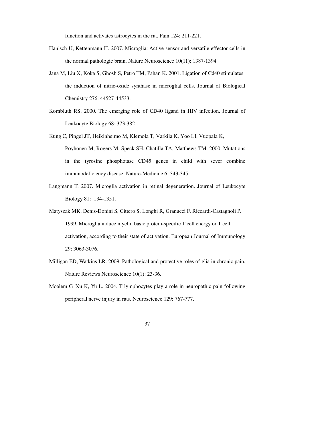function and activates astrocytes in the rat. Pain 124: 211-221.

- Hanisch U, Kettenmann H. 2007. Microglia: Active sensor and versatile effector cells in the normal pathologic brain. Nature Neuroscience 10(11): 1387-1394.
- Jana M, Liu X, Koka S, Ghosh S, Petro TM, Pahan K. 2001. Ligation of Cd40 stimulates the induction of nitric-oxide synthase in microglial cells. Journal of Biological Chemistry 276: 44527-44533.
- Kornbluth RS. 2000. The emerging role of CD40 ligand in HIV infection. Journal of Leukocyte Biology 68: 373-382.
- Kung C, Pingel JT, Heikinheimo M, Klemola T, Varkila K, Yoo LI, Vuopala K, Poyhonen M, Rogers M, Speck SH, Chatilla TA, Matthews TM. 2000. Mutations in the tyrosine phosphotase CD45 genes in child with sever combine immunodeficiency disease. Nature-Medicine 6: 343-345.
- Langmann T. 2007. Microglia activation in retinal degeneration. Journal of Leukocyte Biology 81: 134-1351.
- Matyszak MK, Denis-Donini S, Cittero S, Longhi R, Granucci F, Riccardi-Castagnoli P. 1999. Microglia induce myelin basic protein-specific T cell energy or T cell activation, according to their state of activation. European Journal of Immunology 29: 3063-3076.
- Milligan ED, Watkins LR. 2009. Pathological and protective roles of glia in chronic pain. Nature Reviews Neuroscience 10(1): 23-36.
- Moalem G, Xu K, Yu L. 2004. T lymphocytes play a role in neuropathic pain following peripheral nerve injury in rats. Neuroscience 129: 767-777.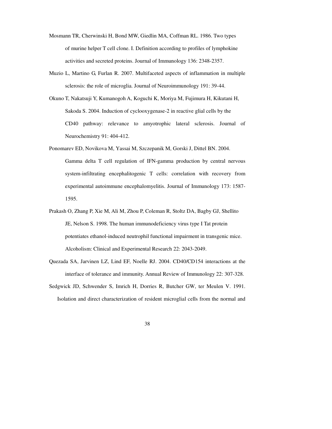- Mosmann TR, Cherwinski H, Bond MW, Giedlin MA, Coffman RL. 1986. Two types of murine helper T cell clone. I. Definition according to profiles of lymphokine activities and secreted proteins. Journal of Immunology 136: 2348-2357.
- Muzio L, Martino G, Furlan R. 2007. Multifaceted aspects of inflammation in multiple sclerosis: the role of microglia. Journal of Neuroimmunology 191: 39-44.
- Okuno T, Nakatsuji Y, Kumanogoh A, Koguchi K, Moriya M, Fujimura H, Kikutani H, Sakoda S. 2004. Induction of cyclooxygenase-2 in reactive glial cells by the CD40 pathway: relevance to amyotrophic lateral sclerosis. Journal of Neurochemistry 91: 404-412.
- Ponomarev ED, Novikova M, Yassai M, Szczepanik M, Gorski J, Dittel BN. 2004. Gamma delta T cell regulation of IFN-gamma production by central nervous system-infiltrating encephalitogenic T cells: correlation with recovery from experimental autoimmune encephalomyelitis. Journal of Immunology 173: 1587- 1595.
- Prakash O, Zhang P, Xie M, Ali M, Zhou P, Coleman R, Stoltz DA, Bagby GJ, Shellito JE, Nelson S. 1998. The human immunodeficiency virus type I Tat protein potentiates ethanol-induced neutrophil functional impairment in transgenic mice. Alcoholism: Clinical and Experimental Research 22: 2043-2049.
- Quezada SA, Jarvinen LZ, Lind EF, Noelle RJ. 2004. CD40/CD154 interactions at the interface of tolerance and immunity. Annual Review of Immunology 22: 307-328.
- Sedgwick JD, Schwender S, Imrich H, Dorries R, Butcher GW, ter Meulen V. 1991. Isolation and direct characterization of resident microglial cells from the normal and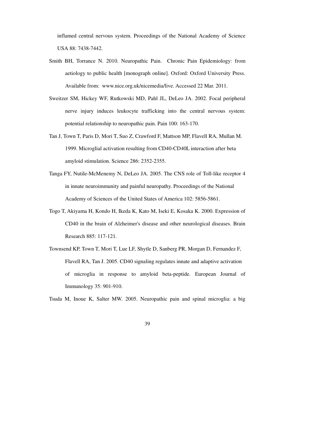inflamed central nervous system. Proceedings of the National Academy of Science USA 88: 7438-7442.

- Smith BH, Torrance N. 2010. Neuropathic Pain. Chronic Pain Epidemiology: from aetiology to public health [monograph online]. Oxford: Oxford University Press. Available from: www.nice.org.uk/nicemedia/live. Accessed 22 Mar. 2011.
- Sweitzer SM, Hickey WF, Rutkowski MD, Pahl JL, DeLeo JA. 2002. Focal peripheral nerve injury induces leukocyte trafficking into the central nervous system: potential relationship to neuropathic pain. Pain 100: 163-170.
- Tan J, Town T, Paris D, Mori T, Suo Z, Crawford F, Mattson MP, Flavell RA, Mullan M. 1999. Microglial activation resulting from CD40-CD40L interaction after beta amyloid stimulation. Science 286: 2352-2355.
- Tanga FY, Nutile-McMenemy N, DeLeo JA. 2005. The CNS role of Toll-like receptor 4 in innate neuroimmunity and painful neuropathy. Proceedings of the National Academy of Sciences of the United States of America 102: 5856-5861.
- Togo T, Akiyama H, Kondo H, Ikeda K, Kato M, Iseki E, Kosaka K. 2000. Expression of CD40 in the brain of Alzheimer's disease and other neurological diseases. Brain Research 885: 117-121.
- Townsend KP, Town T, Mori T, Lue LF, Shytle D, Sanberg PR, Morgan D, Fernandez F, Flavell RA, Tan J. 2005. CD40 signaling regulates innate and adaptive activation of microglia in response to amyloid beta-peptide. European Journal of Immunology 35: 901-910.

Tsuda M, Inoue K, Salter MW. 2005. Neuropathic pain and spinal microglia: a big